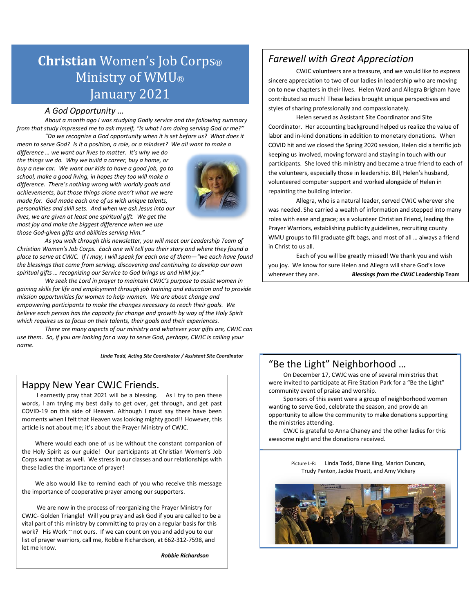# **Christian** Women's Job Corps® Ministry of WMU® January 2021

*A God Opportunity … About a month ago I was studying Godly service and the following summary from that study impressed me to ask myself, "Is what I am doing serving God or me?" "Do we recognize a God opportunity when it is set before us? What does it* 

*mean to serve God? Is it a position, a role, or a mindset? We all want to make a difference … we want our lives to matter. It's why we do the things we do. Why we build a career, buy a home, or buy a new car. We want our kids to have a good job, go to school, make a good living, in hopes they too will make a difference. There's nothing wrong with worldly goals and achievements, but those things alone aren't what we were made for. God made each one of us with unique talents, personalities and skill sets. And when we ask Jesus into our lives, we are given at least one spiritual gift. We get the most joy and make the biggest difference when we use those God-given gifts and abilities serving Him."*



*As you walk through this newsletter, you will meet our Leadership Team of Christian Women's Job Corps. Each one will tell you their story and where they found a place to serve at CWJC. If I may, I will speak for each one of them—"we each have found the blessings that come from serving, discovering and continuing to develop our own spiritual gifts … recognizing our Service to God brings us and HIM joy."* 

*We seek the Lord in prayer to maintain CWJC's purpose to assist women in gaining skills for life and employment through job training and education and to provide mission opportunities for women to help women. We are about change and empowering participants to make the changes necessary to reach their goals. We believe each person has the capacity for change and growth by way of the Holy Spirit which requires us to focus on their talents, their goals and their experiences.* 

*There are many aspects of our ministry and whatever your gifts are, CWJC can use them. So, if you are looking for a way to serve God, perhaps, CWJC is calling your name.* 

*Linda Todd, Acting Site Coordinator / Assistant Site Coordinator*

#### Happy New Year CWJC Friends.

 I earnestly pray that 2021 will be a blessing. As I try to pen these words, I am trying my best daily to get over, get through, and get past COVID-19 on this side of Heaven. Although I must say there have been moments when I felt that Heaven was looking mighty good!! However, this article is not about me; it's about the Prayer Ministry of CWJC.

 Where would each one of us be without the constant companion of the Holy Spirit as our guide! Our participants at Christian Women's Job Corps want that as well. We stress in our classes and our relationships with these ladies the importance of prayer!

 We also would like to remind each of you who receive this message the importance of cooperative prayer among our supporters.

 We are now in the process of reorganizing the Prayer Ministry for CWJC- Golden Triangle! Will you pray and ask God if you are called to be a vital part of this ministry by committing to pray on a regular basis for this work? His Work ~ not ours. If we can count on you and add you to our list of prayer warriors, call me, Robbie Richardson, at 662-312-7598, and let me know.

*Robbie Richardson*

### *Farewell with Great Appreciation*

CWJC volunteers are a treasure, and we would like to express sincere appreciation to two of our ladies in leadership who are moving on to new chapters in their lives. Helen Ward and Allegra Brigham have contributed so much! These ladies brought unique perspectives and styles of sharing professionally and compassionately.

Helen served as Assistant Site Coordinator and Site Coordinator. Her accounting background helped us realize the value of labor and in-kind donations in addition to monetary donations. When COVID hit and we closed the Spring 2020 session, Helen did a terrific job keeping us involved, moving forward and staying in touch with our participants. She loved this ministry and became a true friend to each of the volunteers, especially those in leadership. Bill, Helen's husband, volunteered computer support and worked alongside of Helen in repainting the building interior.

Allegra, who is a natural leader, served CWJC wherever she was needed. She carried a wealth of information and stepped into many roles with ease and grace; as a volunteer Christian Friend, leading the Prayer Warriors, establishing publicity guidelines, recruiting county WMU groups to fill graduate gift bags, and most of all … always a friend in Christ to us all.

Each of you will be greatly missed! We thank you and wish you joy. We know for sure Helen and Allegra will share God's love wherever they are. *Blessings from the CWJC* **Leadership Team**

# "Be the Light" Neighborhood … On December 17, CWJC was one of several ministries that

 $\overline{a}$ 

 community event of praise and worship. were invited to participate at Fire Station Park for a "Be the Light"

 Sponsors of this event were a group of neighborhood women wanting to serve God, celebrate the season, and provide an opportunity to allow the community to make donations supporting the ministries attending.

 CWJC is grateful to Anna Chaney and the other ladies for this awesome night and the donations received.

> Picture L-R: Linda Todd, Diane King, Marion Duncan, Trudy Penton, Jackie Pruett, and Amy Vickery

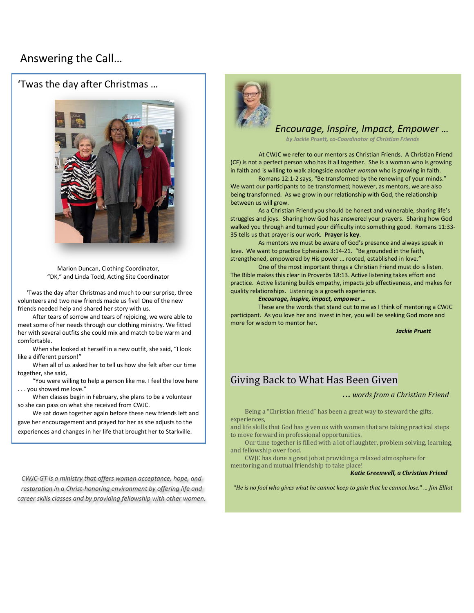## Answering the Call…

'Twas the day after Christmas …



Marion Duncan, Clothing Coordinator, "DK," and Linda Todd, Acting Site Coordinator

 'Twas the day after Christmas and much to our surprise, three volunteers and two new friends made us five! One of the new friends needed help and shared her story with us.

 After tears of sorrow and tears of rejoicing, we were able to meet some of her needs through our clothing ministry. We fitted her with several outfits she could mix and match to be warm and comfortable.

 When she looked at herself in a new outfit, she said, "I look like a different person!"

 When all of us asked her to tell us how she felt after our time together, she said,

 "You were willing to help a person like me. I feel the love here . . . you showed me love."

 When classes begin in February, she plans to be a volunteer so she can pass on what she received from CWJC.

 We sat down together again before these new friends left and gave her encouragement and prayed for her as she adjusts to the experiences and changes in her life that brought her to Starkville.

l

*CWJC-GT is a ministry that offers women acceptance, hope, and restoration in a Christ-honoring environment by offering life and career skills classes and by providing fellowship with other women.*



#### *Encourage, Inspire, Impact, Empower …*

*by Jackie Pruett, co-Coordinator of Christian Friends*

 At CWJC we refer to our mentors as Christian Friends. A Christian Friend (CF) is not a perfect person who has it all together. She is a woman who is growing in faith and is willing to walk alongside *another woman* who is growing in faith.

Romans 12:1-2 says, "Be transformed by the renewing of your minds." We want our participants to be transformed; however, as mentors, we are also being transformed. As we grow in our relationship with God, the relationship between us will grow.

As a Christian Friend you should be honest and vulnerable, sharing life's struggles and joys. Sharing how God has answered your prayers. Sharing how God walked you through and turned your difficulty into something good. Romans 11:33- 35 tells us that prayer is our work. **Prayer is key**.

As mentors we must be aware of God's presence and always speak in love. We want to practice Ephesians 3:14-21. "Be grounded in the faith, strengthened, empowered by His power … rooted, established in love."

One of the most important things a Christian Friend must do is listen. The Bible makes this clear in Proverbs 18:13. Active listening takes effort and practice. Active listening builds empathy, impacts job effectiveness, and makes for quality relationships. Listening is a growth experience.

#### *Encourage, inspire, impact, empower …*

These are the words that stand out to me as I think of mentoring a CWJC participant. As you love her and invest in her, you will be seeking God more and more for wisdom to mentor her*.* 

*Jackie Pruett*

# Giving Back to What Has Been Given

#### *… words from a Christian Friend*

 Being a "Christian friend" has been a great way to steward the gifts, experiences,

and life skills that God has given us with women that are taking practical steps to move forward in professional opportunities.

 Our time together is filled with a lot of laughter, problem solving, learning, and fellowship over food.

 CWJC has done a great job at providing a relaxed atmosphere for mentoring and mutual friendship to take place!

*Katie Greenwell, a Christian Friend*

*"He is no fool who gives what he cannot keep to gain that he cannot lose." … Jim Elliot*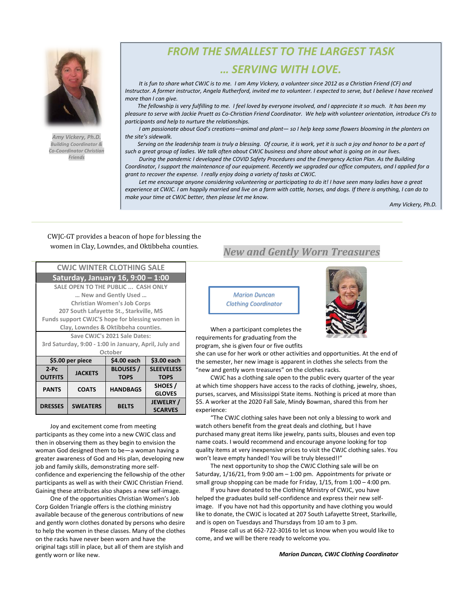

*Amy Vickery, Ph.D. Building Coordinator & Co-Coordinator Christian Friends*

# *FROM THE SMALLEST TO THE LARGEST TASK*

#### *… SERVING WITH LOVE.*

 *It is fun to share what CWJC is to me. I am Amy Vickery, a volunteer since 2012 as a Christian Friend (CF) and Instructor. A former instructor, Angela Rutherford, invited me to volunteer. I expected to serve, but I believe I have received more than I can give.* 

 *The fellowship is very fulfilling to me. I feel loved by everyone involved, and I appreciate it so much. It has been my pleasure to serve with Jackie Pruett as Co-Christian Friend Coordinator. We help with volunteer orientation, introduce CFs to participants and help to nurture the relationships.*

 *I am passionate about God's creations—animal and plant— so I help keep some flowers blooming in the planters on the site's sidewalk.*

 *Serving on the leadership team is truly a blessing. Of course, it is work, yet it is such a joy and honor to be a part of such a great group of ladies. We talk often about CWJC business and share about what is going on in our lives.* 

 *During the pandemic I developed the COVID Safety Procedures and the Emergency Action Plan. As the Building Coordinator, I support the maintenance of our equipment. Recently we upgraded our office computers, and I applied for a grant to recover the expense. I really enjoy doing a variety of tasks at CWJC.* 

 *Let me encourage anyone considering volunteering or participating to do it! I have seen many ladies have a great experience at CWJC. I am happily married and live on a farm with cattle, horses, and dogs. If there is anything, I can do to make your time at CWJC better, then please let me know.*

*Amy Vickery, Ph.D.*

# CWJC-GT provides a beacon of hope for blessing the

| <b>CWJC WINTER CLOTHING SALE</b>                      |                 |                  |                   |
|-------------------------------------------------------|-----------------|------------------|-------------------|
| Saturday, January 16, 9:00 - 1:00                     |                 |                  |                   |
| SALE OPEN TO THE PUBLIC  CASH ONLY                    |                 |                  |                   |
| New and Gently Used                                   |                 |                  |                   |
| <b>Christian Women's Job Corps</b>                    |                 |                  |                   |
| 207 South Lafayette St., Starkville, MS               |                 |                  |                   |
| Funds support CWJC'S hope for blessing women in       |                 |                  |                   |
| Clay, Lowndes & Oktibbeha counties.                   |                 |                  |                   |
| Save CWJC's 2021 Sale Dates:                          |                 |                  |                   |
| 3rd Saturday, 9:00 - 1:00 in January, April, July and |                 |                  |                   |
| October                                               |                 |                  |                   |
| \$5.00 per piece                                      |                 | \$4.00 each      | \$3.00 each       |
| $2-PC$                                                | <b>JACKETS</b>  | <b>BLOUSES /</b> | <b>SLEEVELESS</b> |
| <b>OUTFITS</b>                                        |                 | <b>TOPS</b>      | <b>TOPS</b>       |
| <b>PANTS</b>                                          | <b>COATS</b>    | <b>HANDBAGS</b>  | SHOES/            |
|                                                       |                 |                  | <b>GLOVES</b>     |
| <b>DRESSES</b>                                        | <b>SWEATERS</b> | <b>BELTS</b>     | <b>JEWELRY</b> /  |
|                                                       |                 |                  | <b>SCARVES</b>    |

 Joy and excitement come from meeting participants as they come into a new CWJC class and then in observing them as they begin to envision the woman God designed them to be—a woman having a greater awareness of God and His plan, developing new job and family skills, demonstrating more selfconfidence and experiencing the fellowship of the other participants as well as with their CWJC Christian Friend. Gaining these attributes also shapes a new self-image.

 One of the opportunities Christian Women's Job Corp Golden Triangle offers is the clothing ministry available because of the generous contributions of new and gently worn clothes donated by persons who desire to help the women in these classes. Many of the clothes on the racks have never been worn and have the original tags still in place, but all of them are stylish and gently worn or like new.

# women in Clay, Lowndes, and Oktibbeha counties. *New and Gently Worn Treasures*

*Marion Duncan Clothing Coordinator*



 When a participant completes the requirements for graduating from the program, she is given four or five outfits

she can use for her work or other activities and opportunities. At the end of the semester, her new image is apparent in clothes she selects from the "new and gently worn treasures" on the clothes racks.

 CWJC has a clothing sale open to the public every quarter of the year at which time shoppers have access to the racks of clothing, jewelry, shoes, purses, scarves, and Mississippi State items. Nothing is priced at more than \$5. A worker at the 2020 Fall Sale, Mindy Bowman, shared this from her experience:

 "The CWJC clothing sales have been not only a blessing to work and watch others benefit from the great deals and clothing, but I have purchased many great items like jewelry, pants suits, blouses and even top name coats. I would recommend and encourage anyone looking for top quality items at very inexpensive prices to visit the CWJC clothing sales. You won't leave empty handed! You will be truly blessed!!"

 The next opportunity to shop the CWJC Clothing sale will be on Saturday, 1/16/21, from 9:00 am – 1:00 pm. Appointments for private or small group shopping can be made for Friday, 1/15, from 1:00 – 4:00 pm.

 If you have donated to the Clothing Ministry of CWJC, you have helped the graduates build self-confidence and express their new selfimage. If you have not had this opportunity and have clothing you would like to donate, the CWJC is located at 207 South Lafayette Street, Starkville, and is open on Tuesdays and Thursdays from 10 am to 3 pm.

 Please call us at 662-722-3016 to let us know when you would like to come, and we will be there ready to welcome you.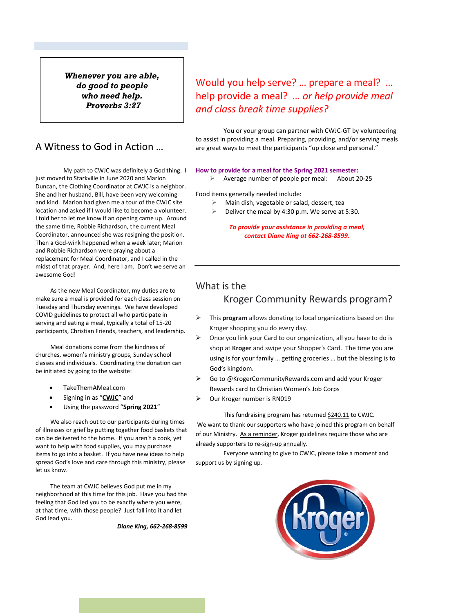*Whenever you are able, do good to people who need help. Proverbs 3:27*

### A Witness to God in Action …

My path to CWJC was definitely a God thing. I just moved to Starkville in June 2020 and Marion Duncan, the Clothing Coordinator at CWJC is a neighbor. She and her husband, Bill, have been very welcoming and kind. Marion had given me a tour of the CWJC site location and asked if I would like to become a volunteer. I told her to let me know if an opening came up. Around the same time, Robbie Richardson, the current Meal Coordinator, announced she was resigning the position. Then a God-wink happened when a week later; Marion and Robbie Richardson were praying about a replacement for Meal Coordinator, and I called in the midst of that prayer. And, here I am. Don't we serve an awesome God!

 As the new Meal Coordinator, my duties are to make sure a meal is provided for each class session on Tuesday and Thursday evenings. We have developed COVID guidelines to protect all who participate in serving and eating a meal, typically a total of 15-20 participants, Christian Friends, teachers, and leadership.

 Meal donations come from the kindness of churches, women's ministry groups, Sunday school classes and individuals. Coordinating the donation can be initiated by going to the website:

- TakeThemAMeal.com
- Signing in as "**CWJC**" and
- Using the password "**Spring 2021**"

 We also reach out to our participants during times of illnesses or grief by putting together food baskets that can be delivered to the home. If you aren't a cook, yet want to help with food supplies, you may purchase items to go into a basket. If you have new ideas to help spread God's love and care through this ministry, please let us know.

 The team at CWJC believes God put me in my neighborhood at this time for this job. Have you had the feeling that God led you to be exactly where you were, at that time, with those people? Just fall into it and let God lead you.

*Diane King, 662-268-8599*

# Would you help serve? … prepare a meal? … help provide a meal? *… or help provide [meal](https://cwjcgtms.org/development/#don%206)  [and class break time supplies?](https://cwjcgtms.org/development/#don%206)*

You or your group can partner with CWJC-GT by volunteering to assist in providing a meal. Preparing, providing, and/or serving meals are great ways to meet the participants "up close and personal."

#### **How to provide for a meal for the Spring 2021 semester:**

Average number of people per meal: About 20-25

Food items generally needed include:

- Main dish, vegetable or salad, dessert, tea
- Deliver the meal by 4:30 p.m. We serve at 5:30.

*To provide your assistance in providing a meal, contact Diane King at 662-268-8599.*

### What is the Kroger Community Rewards program?

- This **program** allows donating to local organizations based on the Kroger shopping you do every day.
- Once you link your Card to our organization, all you have to do is shop at **Kroger** and swipe your Shopper's Card. The time you are using is for your family … getting groceries … but the blessing is to God's kingdom.
- Go to @KrogerCommunityRewards.com and add your Kroger Rewards card to Christian Women's Job Corps
- $\triangleright$  Our Kroger number is RN019

This fundraising program has returned \$240.11 to CWJC. We want to thank our supporters who have joined this program on behalf of our Ministry. As a reminder, Kroger guidelines require those who are already supporters to re-sign-up annually.

Everyone wanting to give to CWJC, please take a moment and support us by signing up.

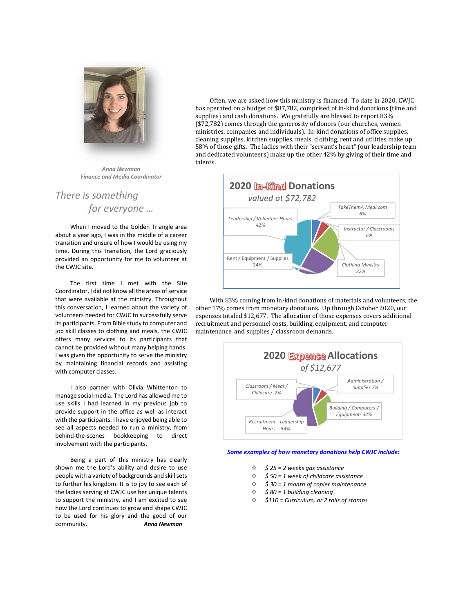

*Anna Newman Finance and Media Coordinator*

## *There is something for everyone …*

 When I moved to the Golden Triangle area about a year ago, I was in the middle of a career transition and unsure of how I would be using my time. During this transition, the Lord graciously provided an opportunity for me to volunteer at the CWJC site.

 The first time I met with the Site Coordinator, I did not know all the areas of service that were available at the ministry. Throughout this conversation, I learned about the variety of volunteers needed for CWJC to successfully serve its participants. From Bible study to computer and job skill classes to clothing and meals, the CWJC offers many services to its participants that cannot be provided without many helping hands. I was given the opportunity to serve the ministry by maintaining financial records and assisting with computer classes.

 I also partner with Olivia Whittenton to manage social media. The Lord has allowed me to use skills I had learned in my previous job to provide support in the office as well as interact with the participants. I have enjoyed being able to see all aspects needed to run a ministry, from behind-the-scenes bookkeeping to direct involvement with the participants.

 Being a part of this ministry has clearly shown me the Lord's ability and desire to use people with a variety of backgrounds and skill sets to further his kingdom. It is to joy to see each of the ladies serving at CWJC use her unique talents to support the ministry, and I am excited to see how the Lord continues to grow and shape CWJC to be used for his glory and the good of our community*. Anna Newman*

 Often, we are asked how this ministry is financed. To date in 2020, CWJC has operated on a budget of \$87,782, comprised of in-kind donations (time and supplies) and cash donations. We gratefully are blessed to report 83% (\$72,782) comes through the generosity of donors (our churches, women ministries, companies and individuals). In-kind donations of office supplies, cleaning supplies, kitchen supplies, meals, clothing, rent and utilities make up 58% of those gifts. The ladies with their "servant's heart" (our leadership team and dedicated volunteers) make up the other 42% by giving of their time and talents.



 With 83% coming from in-kind donations of materials and volunteers; the other 17% comes from monetary donations. Up through October 2020, our expenses totaled \$12,677. The allocation of those expenses covers additional recruitment and personnel costs, building, equipment, and computer maintenance, and supplies / classroom demands.



#### *Some examples of how monetary donations help CWJC include:*

- *\$ 25 = 2 weeks gas assistance*
- *\$ 50 = 1 week of childcare assistance*
- *\$ 30 = 1 month of copier maintenance*
- *\$ 80 = 1 building cleaning*
- *\$110 = Curriculum, or 2 rolls of stamps*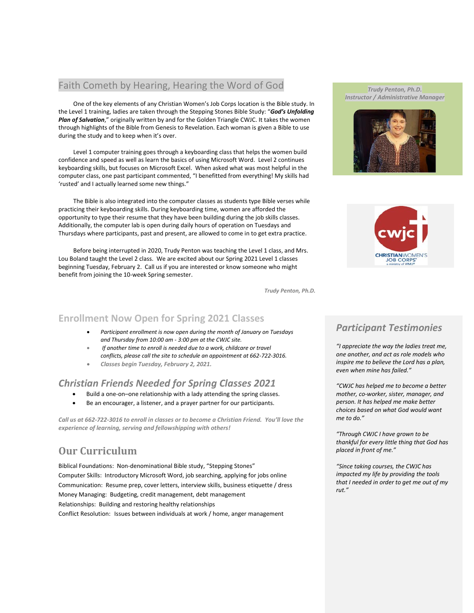#### Faith Cometh by Hearing, Hearing the Word of God

 One of the key elements of any Christian Women's Job Corps location is the Bible study. In the Level 1 training, ladies are taken through th[e Stepping Stones Bible Study: "](https://www.amazon.com/Stepping-Stones-Bible-Study-Unfolding/dp/1625915012/ref=sr_1_1?dchild=1&keywords=stepping+stones+bible+study&qid=1605712361&sr=8-1)*God's Unfolding [Plan of Salvation](https://www.amazon.com/Stepping-Stones-Bible-Study-Unfolding/dp/1625915012/ref=sr_1_1?dchild=1&keywords=stepping+stones+bible+study&qid=1605712361&sr=8-1)*," originally written by and for the Golden Triangle CWJC. It takes the women through highlights of the Bible from Genesis to Revelation. Each woman is given a Bible to use during the study and to keep when it's over.

 Level 1 computer training goes through a keyboarding class that helps the women build confidence and speed as well as learn the basics of using Microsoft Word. Level 2 continues keyboarding skills, but focuses on Microsoft Excel. When asked what was most helpful in the computer class, one past participant commented, "I benefitted from everything! My skills had 'rusted' and I actually learned some new things."

 The Bible is also integrated into the computer classes as students type Bible verses while practicing their keyboarding skills. During keyboarding time, women are afforded the opportunity to type their resume that they have been building during the job skills classes. Additionally, the computer lab is open during daily hours of operation on Tuesdays and Thursdays where participants, past and present, are allowed to come in to get extra practice.

 Before being interrupted in 2020, Trudy Penton was teaching the Level 1 class, and Mrs. Lou Boland taught the Level 2 class. We are excited about our Spring 2021 Level 1 classes beginning Tuesday, February 2. Call us if you are interested or know someone who might benefit from joining the 10-week Spring semester.

*Trudy Penton, Ph.D.*

#### **Enrollment Now Open for Spring 2021 Classes**

- *Participant enrollment is now open during the month of January on Tuesdays and Thursday from 10:00 am - 3:00 pm at the CWJC site.*
- *If another time to enroll is needed due to a work, childcare or travel conflicts, please call the site to schedule an appointment at 662-722-3016.*
- *Classes begin Tuesday, February 2, 2021.*

#### *Christian Friends Needed for Spring Classes 2021*

- Build a one-on–one relationship with a lady attending the spring classes.
- Be an encourager, a listener, and a prayer partner for our participants.

*Call us at 662-722-3016 to enroll in classes or to become a Christian Friend. You'll love the experience of learning, serving and fellowshipping with others!*

# **Our Curriculum**

Biblical Foundations: Non-denominational Bible study, "Stepping Stones" Computer Skills: Introductory Microsoft Word, job searching, applying for jobs online Communication: Resume prep, cover letters, interview skills, business etiquette / dress Money Managing: Budgeting, credit management, debt management Relationships: Building and restoring healthy relationships Conflict Resolution: Issues between individuals at work / home, anger management

#### *Trudy Penton, Ph.D. Instructor / Administrative Manager*





### *Participant Testimonies*

*"I appreciate the way the ladies treat me, one another, and act as role models who inspire me to believe the Lord has a plan, even when mine has failed."*

*"CWJC has helped me to become a better mother, co-worker, sister, manager, and person. It has helped me make better choices based on what God would want me to do."*

*"Through CWJC I have grown to be thankful for every little thing that God has placed in front of me."*

*"Since taking courses, the CWJC has impacted my life by providing the tools that I needed in order to get me out of my rut."*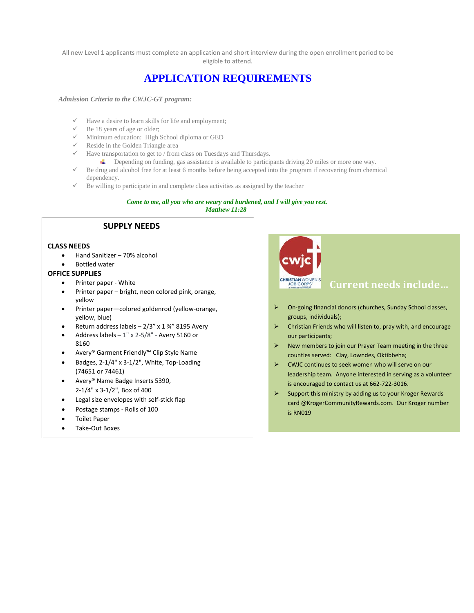All new Level 1 applicants must complete an application and short interview during the open enrollment period to be eligible to attend.

# **APPLICATION REQUIREMENTS**

*Admission Criteria to the CWJC-GT program:* 

- $\checkmark$  Have a desire to learn skills for life and employment;
- $\checkmark$  Be 18 years of age or older;
- $\checkmark$  Minimum education: High School diploma or GED
- $\checkmark$  Reside in the Golden Triangle area
- $\checkmark$  Have transportation to get to / from class on Tuesdays and Thursdays.
	- Depending on funding, gas assistance is available to participants driving 20 miles or more one way.
- $\checkmark$  Be drug and alcohol free for at least 6 months before being accepted into the program if recovering from chemical dependency.
- $\checkmark$  Be willing to participate in and complete class activities as assigned by the teacher

#### *Come to me, all you who are weary and burdened, and I will give you rest.*

*Matthew 11:28* 

#### **SUPPLY NEEDS**

#### **CLASS NEEDS**

- Hand Sanitizer 70% alcohol
- Bottled water

#### **OFFICE SUPPLIES**

- Printer paper White
- Printer paper bright, neon colored pink, orange, yellow
- Printer paper—colored goldenrod (yellow-orange, yellow, blue)
- Return address labels  $2/3$ " x 1  $\frac{3}{4}$ " 8195 Avery
- Address labels  $-1$ " x 2-5/8" Avery 5160 or 8160
- Avery® Garment Friendly™ Clip Style Name
- Badges, 2-1/4" x 3-1/2", White, Top-Loading (74651 or 74461)
- Avery® Name Badge Inserts 5390, 2-1/4" x 3-1/2", Box of 400
- Legal size envelopes with self-stick flap
- Postage stamps Rolls of 100
- Toilet Paper
- Take-Out Boxes



- On-going financial donors (churches, Sunday School classes, groups, individuals);
- $\triangleright$  Christian Friends who will listen to, pray with, and encourage our participants;
- $\triangleright$  New members to join our Prayer Team meeting in the three counties served: Clay, Lowndes, Oktibbeha;
- CWJC continues to seek women who will serve on our leadership team. Anyone interested in serving as a volunteer is encouraged to contact us at 662-722-3016.
- $\triangleright$  Support this ministry by adding us to your Kroger Rewards card @KrogerCommunityRewards.com. Our Kroger number is RN019